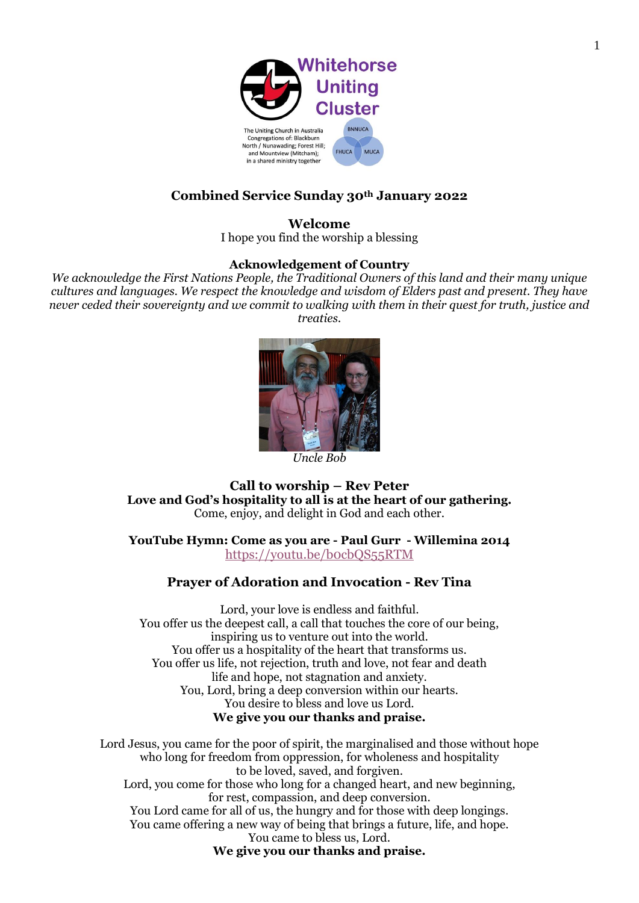

# **Combined Service Sunday 30th January 2022**

**Welcome** I hope you find the worship a blessing

### **Acknowledgement of Country**

*We acknowledge the First Nations People, the Traditional Owners of this land and their many unique cultures and languages. We respect the knowledge and wisdom of Elders past and present. They have never ceded their sovereignty and we commit to walking with them in their quest for truth, justice and treaties.*



**Call to worship – Rev Peter Love and God's hospitality to all is at the heart of our gathering.** Come, enjoy, and delight in God and each other.

**YouTube Hymn: Come as you are - Paul Gurr - Willemina 2014** <https://youtu.be/b0cbQS55RTM>

### **Prayer of Adoration and Invocation - Rev Tina**

Lord, your love is endless and faithful. You offer us the deepest call, a call that touches the core of our being, inspiring us to venture out into the world. You offer us a hospitality of the heart that transforms us. You offer us life, not rejection, truth and love, not fear and death life and hope, not stagnation and anxiety. You, Lord, bring a deep conversion within our hearts. You desire to bless and love us Lord. **We give you our thanks and praise.**

Lord Jesus, you came for the poor of spirit, the marginalised and those without hope who long for freedom from oppression, for wholeness and hospitality to be loved, saved, and forgiven. Lord, you come for those who long for a changed heart, and new beginning, for rest, compassion, and deep conversion. You Lord came for all of us, the hungry and for those with deep longings. You came offering a new way of being that brings a future, life, and hope. You came to bless us, Lord. **We give you our thanks and praise.**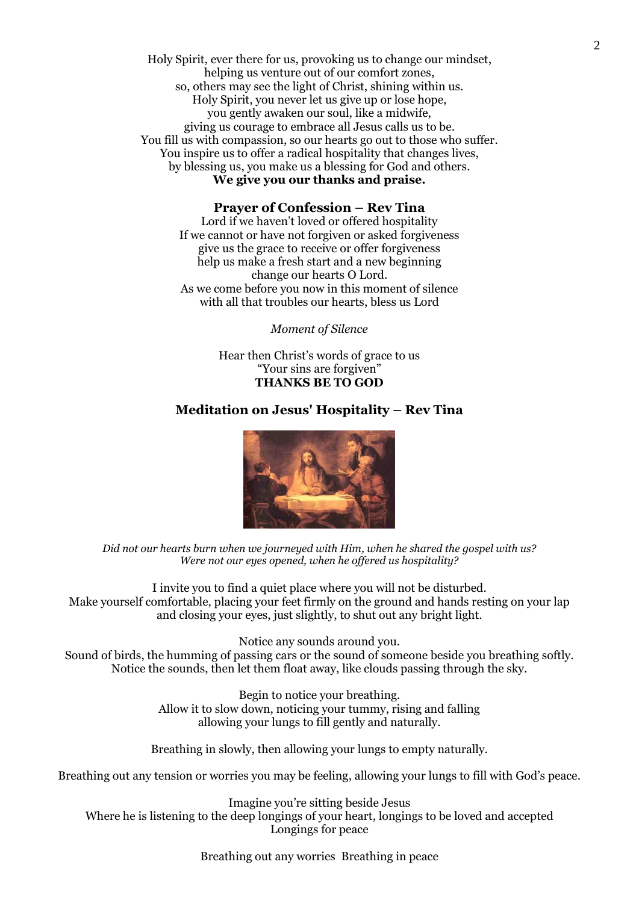Holy Spirit, ever there for us, provoking us to change our mindset, helping us venture out of our comfort zones, so, others may see the light of Christ, shining within us. Holy Spirit, you never let us give up or lose hope, you gently awaken our soul, like a midwife, giving us courage to embrace all Jesus calls us to be. You fill us with compassion, so our hearts go out to those who suffer. You inspire us to offer a radical hospitality that changes lives, by blessing us, you make us a blessing for God and others. **We give you our thanks and praise.**

### **Prayer of Confession – Rev Tina**

Lord if we haven't loved or offered hospitality If we cannot or have not forgiven or asked forgiveness give us the grace to receive or offer forgiveness help us make a fresh start and a new beginning change our hearts O Lord. As we come before you now in this moment of silence with all that troubles our hearts, bless us Lord

*Moment of Silence* 

Hear then Christ's words of grace to us "Your sins are forgiven" **THANKS BE TO GOD**

### **Meditation on Jesus' Hospitality – Rev Tina**



*Did not our hearts burn when we journeyed with Him, when he shared the gospel with us? Were not our eyes opened, when he offered us hospitality?* 

I invite you to find a quiet place where you will not be disturbed. Make yourself comfortable, placing your feet firmly on the ground and hands resting on your lap and closing your eyes, just slightly, to shut out any bright light.

Notice any sounds around you.

Sound of birds, the humming of passing cars or the sound of someone beside you breathing softly. Notice the sounds, then let them float away, like clouds passing through the sky.

> Begin to notice your breathing. Allow it to slow down, noticing your tummy, rising and falling allowing your lungs to fill gently and naturally.

Breathing in slowly, then allowing your lungs to empty naturally.

Breathing out any tension or worries you may be feeling, allowing your lungs to fill with God's peace.

Imagine you're sitting beside Jesus Where he is listening to the deep longings of your heart, longings to be loved and accepted Longings for peace

Breathing out any worries Breathing in peace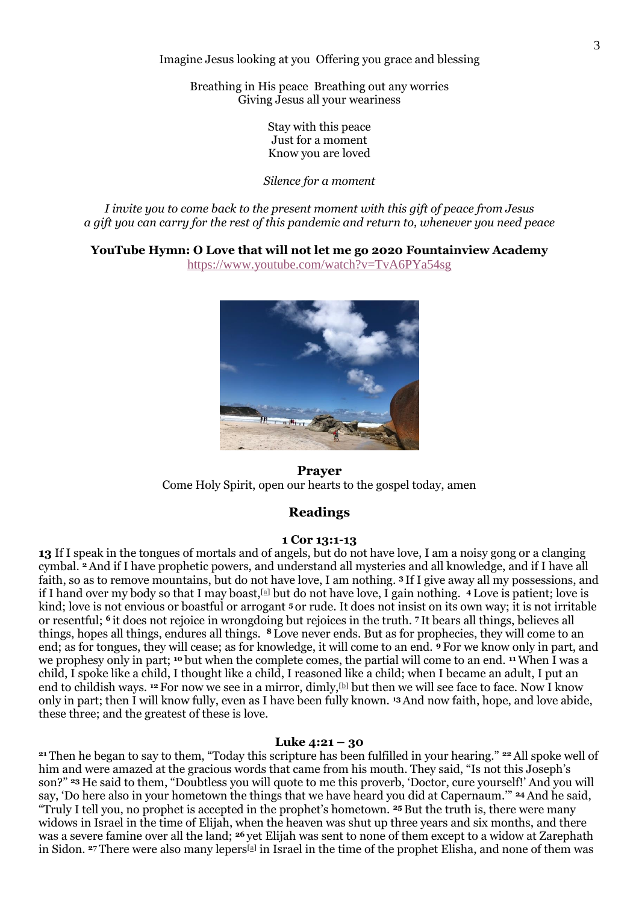Imagine Jesus looking at you Offering you grace and blessing

Breathing in His peace Breathing out any worries Giving Jesus all your weariness

> Stay with this peace Just for a moment Know you are loved

*Silence for a moment* 

*I invite you to come back to the present moment with this gift of peace from Jesus a gift you can carry for the rest of this pandemic and return to, whenever you need peace*

**YouTube Hymn: O Love that will not let me go 2020 Fountainview Academy**

<https://www.youtube.com/watch?v=TvA6PYa54sg>



**Prayer**  Come Holy Spirit, open our hearts to the gospel today, amen

## **Readings**

#### **1 Cor 13:1-13**

**13** If I speak in the tongues of mortals and of angels, but do not have love, I am a noisy gong or a clanging cymbal. **<sup>2</sup>**And if I have prophetic powers, and understand all mysteries and all knowledge, and if I have all faith, so as to remove mountains, but do not have love, I am nothing. **<sup>3</sup>** If I give away all my possessions, and if I hand over my body so that I may boast,[\[a\]](https://www.biblegateway.com/passage/?search=1+cor+13%3A1-13&version=NRSV#fen-NRSV-28653a) but do not have love, I gain nothing. **<sup>4</sup>** Love is patient; love is kind; love is not envious or boastful or arrogant **<sup>5</sup>** or rude. It does not insist on its own way; it is not irritable or resentful; **<sup>6</sup>** it does not rejoice in wrongdoing but rejoices in the truth. **<sup>7</sup>** It bears all things, believes all things, hopes all things, endures all things. **<sup>8</sup>** Love never ends. But as for prophecies, they will come to an end; as for tongues, they will cease; as for knowledge, it will come to an end. **<sup>9</sup>** For we know only in part, and we prophesy only in part; **<sup>10</sup>** but when the complete comes, the partial will come to an end. **<sup>11</sup>**When I was a child, I spoke like a child, I thought like a child, I reasoned like a child; when I became an adult, I put an end to childish ways. <sup>12</sup> For now we see in a mirror, dimly, **b** but then we will see face to face. Now I know only in part; then I will know fully, even as I have been fully known. **<sup>13</sup>**And now faith, hope, and love abide, these three; and the greatest of these is love.

#### **Luke 4:21 – 30**

**<sup>21</sup>** Then he began to say to them, "Today this scripture has been fulfilled in your hearing." **<sup>22</sup>**All spoke well of him and were amazed at the gracious words that came from his mouth. They said, "Is not this Joseph's son?" **<sup>23</sup>** He said to them, "Doubtless you will quote to me this proverb, 'Doctor, cure yourself!' And you will say, 'Do here also in your hometown the things that we have heard you did at Capernaum.'" **<sup>24</sup>**And he said, "Truly I tell you, no prophet is accepted in the prophet's hometown. **<sup>25</sup>** But the truth is, there were many widows in Israel in the time of Elijah, when the heaven was shut up three years and six months, and there was a severe famine over all the land; **<sup>26</sup>** yet Elijah was sent to none of them except to a widow at Zarephath in Sidon. <sup>27</sup> There were also many lepers<sup>[\[a\]](https://www.biblegateway.com/passage/?search=Luke+4%3A21-30&version=NRSV#fen-NRSV-25083a)</sup> in Israel in the time of the prophet Elisha, and none of them was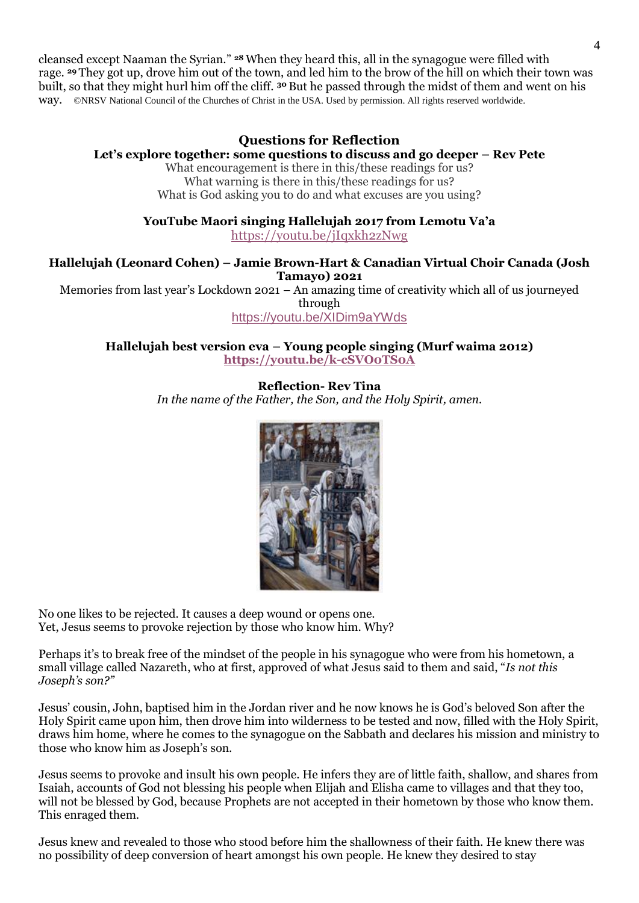cleansed except Naaman the Syrian." **<sup>28</sup>**When they heard this, all in the synagogue were filled with rage. **<sup>29</sup>** They got up, drove him out of the town, and led him to the brow of the hill on which their town was built, so that they might hurl him off the cliff. **<sup>30</sup>** But he passed through the midst of them and went on his way. ©NRSV National Council of the Churches of Christ in the USA. Used by permission. All rights reserved worldwide.

## **Questions for Reflection**

### **Let's explore together: some questions to discuss and go deeper – Rev Pete**

What encouragement is there in this/these readings for us? What warning is there in this/these readings for us? What is God asking you to do and what excuses are you using?

**YouTube Maori singing Hallelujah 2017 from Lemotu Va'a**

<https://youtu.be/jIqxkh2zNwg>

### **Hallelujah (Leonard Cohen) – Jamie Brown-Hart & Canadian Virtual Choir Canada (Josh Tamayo) 2021**

Memories from last year's Lockdown 2021 – An amazing time of creativity which all of us journeyed through

<https://youtu.be/XIDim9aYWds>

**Hallelujah best version eva – Young people singing (Murf waima 2012) <https://youtu.be/k-cSVO0TS0A>**

> **Reflection- Rev Tina** *In the name of the Father, the Son, and the Holy Spirit, amen.*



No one likes to be rejected. It causes a deep wound or opens one. Yet, Jesus seems to provoke rejection by those who know him. Why?

Perhaps it's to break free of the mindset of the people in his synagogue who were from his hometown, a small village called Nazareth, who at first, approved of what Jesus said to them and said, "*Is not this Joseph's son?"*

Jesus' cousin, John, baptised him in the Jordan river and he now knows he is God's beloved Son after the Holy Spirit came upon him, then drove him into wilderness to be tested and now, filled with the Holy Spirit, draws him home, where he comes to the synagogue on the Sabbath and declares his mission and ministry to those who know him as Joseph's son.

Jesus seems to provoke and insult his own people. He infers they are of little faith, shallow, and shares from Isaiah, accounts of God not blessing his people when Elijah and Elisha came to villages and that they too, will not be blessed by God, because Prophets are not accepted in their hometown by those who know them. This enraged them.

Jesus knew and revealed to those who stood before him the shallowness of their faith. He knew there was no possibility of deep conversion of heart amongst his own people. He knew they desired to stay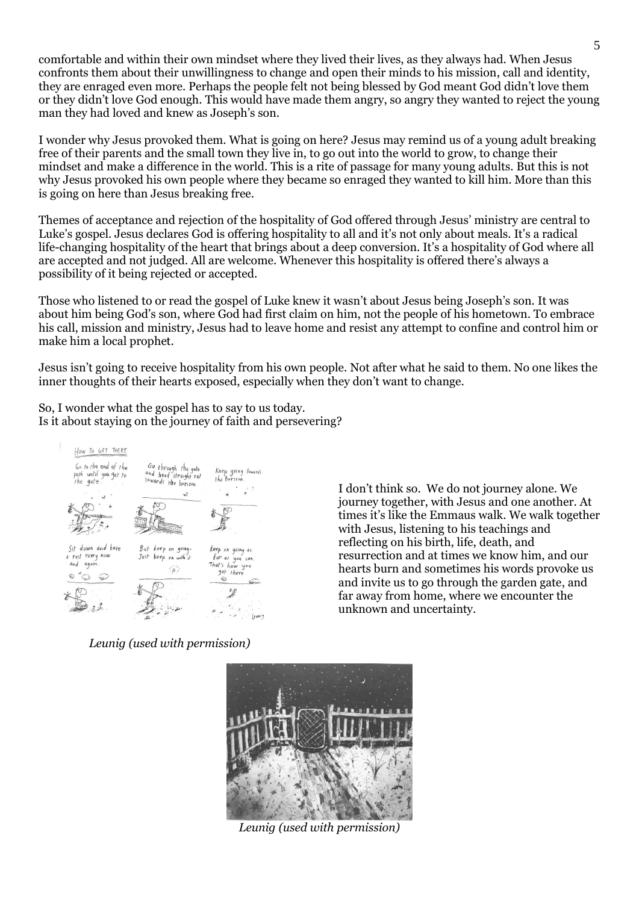comfortable and within their own mindset where they lived their lives, as they always had. When Jesus confronts them about their unwillingness to change and open their minds to his mission, call and identity, they are enraged even more. Perhaps the people felt not being blessed by God meant God didn't love them or they didn't love God enough. This would have made them angry, so angry they wanted to reject the young man they had loved and knew as Joseph's son.

I wonder why Jesus provoked them. What is going on here? Jesus may remind us of a young adult breaking free of their parents and the small town they live in, to go out into the world to grow, to change their mindset and make a difference in the world. This is a rite of passage for many young adults. But this is not why Jesus provoked his own people where they became so enraged they wanted to kill him. More than this is going on here than Jesus breaking free.

Themes of acceptance and rejection of the hospitality of God offered through Jesus' ministry are central to Luke's gospel. Jesus declares God is offering hospitality to all and it's not only about meals. It's a radical life-changing hospitality of the heart that brings about a deep conversion. It's a hospitality of God where all are accepted and not judged. All are welcome. Whenever this hospitality is offered there's always a possibility of it being rejected or accepted.

Those who listened to or read the gospel of Luke knew it wasn't about Jesus being Joseph's son. It was about him being God's son, where God had first claim on him, not the people of his hometown. To embrace his call, mission and ministry, Jesus had to leave home and resist any attempt to confine and control him or make him a local prophet.

Jesus isn't going to receive hospitality from his own people. Not after what he said to them. No one likes the inner thoughts of their hearts exposed, especially when they don't want to change.

So, I wonder what the gospel has to say to us today. Is it about staying on the journey of faith and persevering?



I don't think so. We do not journey alone. We journey together, with Jesus and one another. At times it's like the Emmaus walk. We walk together with Jesus, listening to his teachings and reflecting on his birth, life, death, and resurrection and at times we know him, and our hearts burn and sometimes his words provoke us and invite us to go through the garden gate, and far away from home, where we encounter the unknown and uncertainty.

*Leunig (used with permission)*



*Leunig (used with permission)*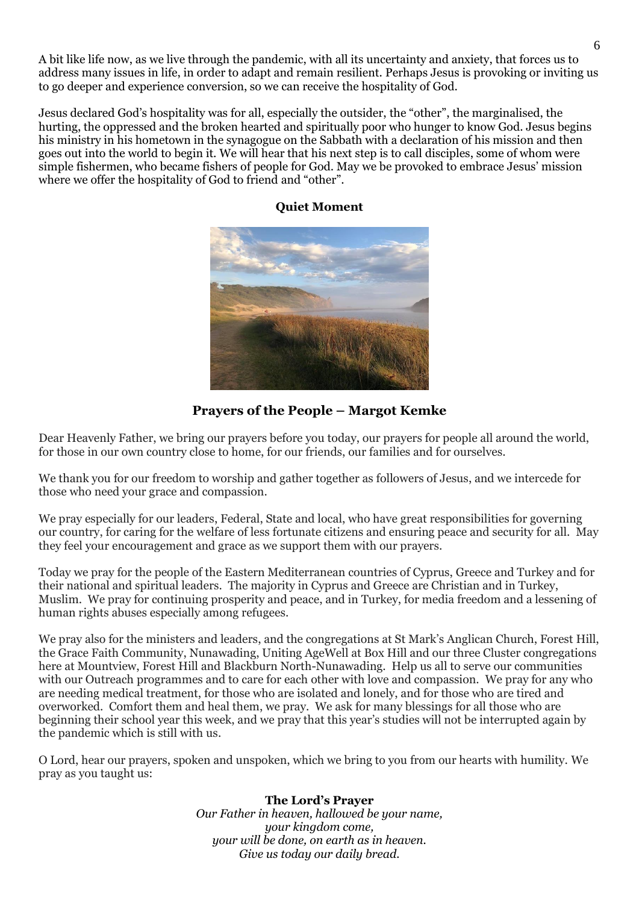A bit like life now, as we live through the pandemic, with all its uncertainty and anxiety, that forces us to address many issues in life, in order to adapt and remain resilient. Perhaps Jesus is provoking or inviting us to go deeper and experience conversion, so we can receive the hospitality of God.

Jesus declared God's hospitality was for all, especially the outsider, the "other", the marginalised, the hurting, the oppressed and the broken hearted and spiritually poor who hunger to know God. Jesus begins his ministry in his hometown in the synagogue on the Sabbath with a declaration of his mission and then goes out into the world to begin it. We will hear that his next step is to call disciples, some of whom were simple fishermen, who became fishers of people for God. May we be provoked to embrace Jesus' mission where we offer the hospitality of God to friend and "other".



## **Quiet Moment**

**Prayers of the People – Margot Kemke** 

Dear Heavenly Father, we bring our prayers before you today, our prayers for people all around the world, for those in our own country close to home, for our friends, our families and for ourselves.

We thank you for our freedom to worship and gather together as followers of Jesus, and we intercede for those who need your grace and compassion.

We pray especially for our leaders, Federal, State and local, who have great responsibilities for governing our country, for caring for the welfare of less fortunate citizens and ensuring peace and security for all. May they feel your encouragement and grace as we support them with our prayers.

Today we pray for the people of the Eastern Mediterranean countries of Cyprus, Greece and Turkey and for their national and spiritual leaders. The majority in Cyprus and Greece are Christian and in Turkey, Muslim. We pray for continuing prosperity and peace, and in Turkey, for media freedom and a lessening of human rights abuses especially among refugees.

We pray also for the ministers and leaders, and the congregations at St Mark's Anglican Church, Forest Hill, the Grace Faith Community, Nunawading, Uniting AgeWell at Box Hill and our three Cluster congregations here at Mountview, Forest Hill and Blackburn North-Nunawading. Help us all to serve our communities with our Outreach programmes and to care for each other with love and compassion. We pray for any who are needing medical treatment, for those who are isolated and lonely, and for those who are tired and overworked. Comfort them and heal them, we pray. We ask for many blessings for all those who are beginning their school year this week, and we pray that this year's studies will not be interrupted again by the pandemic which is still with us.

O Lord, hear our prayers, spoken and unspoken, which we bring to you from our hearts with humility. We pray as you taught us:

# **The Lord's Prayer**

*Our Father in heaven, hallowed be your name, your kingdom come, your will be done, on earth as in heaven. Give us today our daily bread.*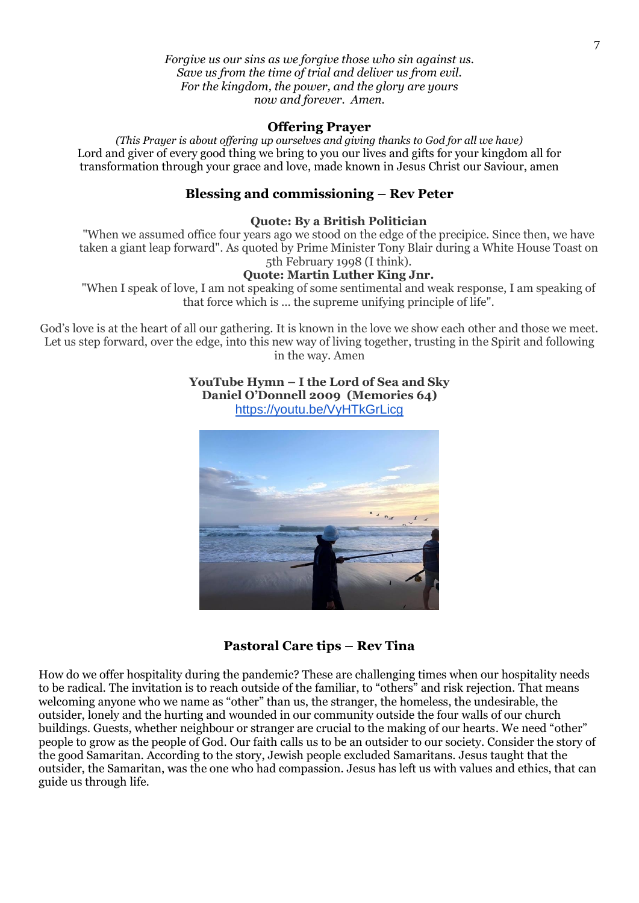*Forgive us our sins as we forgive those who sin against us. Save us from the time of trial and deliver us from evil. For the kingdom, the power, and the glory are yours now and forever. Amen.*

### **Offering Prayer**

*(This Prayer is about offering up ourselves and giving thanks to God for all we have)* Lord and giver of every good thing we bring to you our lives and gifts for your kingdom all for transformation through your grace and love, made known in Jesus Christ our Saviour, amen

### **Blessing and commissioning – Rev Peter**

#### **Quote: By a British Politician**

"When we assumed office four years ago we stood on the edge of the precipice. Since then, we have taken a giant leap forward". As quoted by Prime Minister Tony Blair during a White House Toast on 5th February 1998 (I think).

### **Quote: Martin Luther King Jnr.**

"When I speak of love, I am not speaking of some sentimental and weak response, I am speaking of that force which is ... the supreme unifying principle of life".

God's love is at the heart of all our gathering. It is known in the love we show each other and those we meet. Let us step forward, over the edge, into this new way of living together, trusting in the Spirit and following in the way. Amen

> **YouTube Hymn – I the Lord of Sea and Sky Daniel O'Donnell 2009 (Memories 64)** <https://youtu.be/VyHTkGrLicg>



### **Pastoral Care tips – Rev Tina**

How do we offer hospitality during the pandemic? These are challenging times when our hospitality needs to be radical. The invitation is to reach outside of the familiar, to "others" and risk rejection. That means welcoming anyone who we name as "other" than us, the stranger, the homeless, the undesirable, the outsider, lonely and the hurting and wounded in our community outside the four walls of our church buildings. Guests, whether neighbour or stranger are crucial to the making of our hearts. We need "other" people to grow as the people of God. Our faith calls us to be an outsider to our society. Consider the story of the good Samaritan. According to the story, Jewish people excluded Samaritans. Jesus taught that the outsider, the Samaritan, was the one who had compassion. Jesus has left us with values and ethics, that can guide us through life.